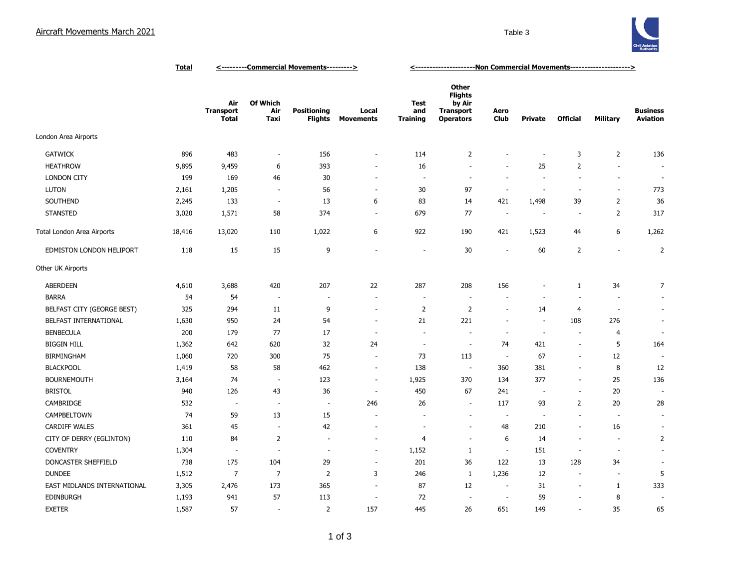

|                             | <b>Total</b> | <---------Commercial Movements---------> |                          |                                      |                           | <-----------------------Non Commercial Movements---------------------> |                                                                           |                          |                          |                          |                          |                                    |
|-----------------------------|--------------|------------------------------------------|--------------------------|--------------------------------------|---------------------------|------------------------------------------------------------------------|---------------------------------------------------------------------------|--------------------------|--------------------------|--------------------------|--------------------------|------------------------------------|
|                             |              | Air<br><b>Transport</b><br><b>Total</b>  | Of Which<br>Air<br>Taxi  | <b>Positioning</b><br><b>Flights</b> | Local<br><b>Movements</b> | <b>Test</b><br>and<br><b>Training</b>                                  | Other<br><b>Flights</b><br>by Air<br><b>Transport</b><br><b>Operators</b> | Aero<br><b>Club</b>      | <b>Private</b>           | <b>Official</b>          | <b>Military</b>          | <b>Business</b><br><b>Aviation</b> |
| London Area Airports        |              |                                          |                          |                                      |                           |                                                                        |                                                                           |                          |                          |                          |                          |                                    |
| <b>GATWICK</b>              | 896          | 483                                      | $\overline{\phantom{a}}$ | 156                                  | $\overline{\phantom{a}}$  | 114                                                                    | 2                                                                         | $\overline{a}$           | ä,                       | 3                        | $\overline{2}$           | 136                                |
| <b>HEATHROW</b>             | 9,895        | 9,459                                    | 6                        | 393                                  | ٠                         | 16                                                                     | $\sim$                                                                    | $\sim$                   | 25                       | $\overline{2}$           | $\overline{\phantom{a}}$ | $\sim$                             |
| <b>LONDON CITY</b>          | 199          | 169                                      | 46                       | 30                                   | $\overline{\phantom{a}}$  | $\overline{\phantom{a}}$                                               | $\overline{\phantom{a}}$                                                  | $\sim$                   | $\sim$                   | $\sim$                   | $\overline{\phantom{a}}$ | $\sim$                             |
| <b>LUTON</b>                | 2,161        | 1,205                                    | $\sim$                   | 56                                   | $\overline{a}$            | 30                                                                     | 97                                                                        | ÷.                       | ÷,                       | $\sim$                   | $\blacksquare$           | 773                                |
| SOUTHEND                    | 2,245        | 133                                      | $\overline{\phantom{a}}$ | 13                                   | 6                         | 83                                                                     | 14                                                                        | 421                      | 1,498                    | 39                       | $\overline{2}$           | 36                                 |
| <b>STANSTED</b>             | 3,020        | 1,571                                    | 58                       | 374                                  | $\overline{\phantom{a}}$  | 679                                                                    | 77                                                                        | $\overline{\phantom{a}}$ | $\sim$                   | $\sim$                   | $\overline{2}$           | 317                                |
| Total London Area Airports  | 18,416       | 13,020                                   | 110                      | 1,022                                | 6                         | 922                                                                    | 190                                                                       | 421                      | 1,523                    | 44                       | 6                        | 1,262                              |
| EDMISTON LONDON HELIPORT    | 118          | 15                                       | 15                       | 9                                    | ÷,                        | $\sim$                                                                 | 30                                                                        | $\sim$                   | 60                       | $\overline{2}$           | ÷,                       | $\overline{2}$                     |
| Other UK Airports           |              |                                          |                          |                                      |                           |                                                                        |                                                                           |                          |                          |                          |                          |                                    |
| ABERDEEN                    | 4,610        | 3,688                                    | 420                      | 207                                  | 22                        | 287                                                                    | 208                                                                       | 156                      | ÷                        | $\mathbf{1}$             | 34                       | 7                                  |
| <b>BARRA</b>                | 54           | 54                                       | $\overline{\phantom{a}}$ | $\overline{\phantom{a}}$             | ÷,                        |                                                                        | $\overline{\phantom{a}}$                                                  | $\overline{\phantom{a}}$ | $\overline{\phantom{a}}$ | $\sim$                   | ÷,                       | ÷.                                 |
| BELFAST CITY (GEORGE BEST)  | 325          | 294                                      | 11                       | 9                                    | $\overline{a}$            | $\overline{2}$                                                         | 2                                                                         | $\sim$                   | 14                       | 4                        | $\overline{\phantom{a}}$ | $\bar{a}$                          |
| BELFAST INTERNATIONAL       | 1,630        | 950                                      | 24                       | 54                                   | ÷,                        | 21                                                                     | 221                                                                       | $\sim$                   | $\overline{\phantom{a}}$ | 108                      | 276                      | $\overline{\phantom{a}}$           |
| <b>BENBECULA</b>            | 200          | 179                                      | 77                       | 17                                   | ÷                         |                                                                        | ÷,                                                                        | $\sim$                   | ÷,                       | $\overline{\phantom{a}}$ | $\overline{4}$           | ÷.                                 |
| <b>BIGGIN HILL</b>          | 1,362        | 642                                      | 620                      | 32                                   | 24                        | $\overline{\phantom{a}}$                                               | $\overline{\phantom{a}}$                                                  | 74                       | 421                      | $\overline{\phantom{a}}$ | 5                        | 164                                |
| <b>BIRMINGHAM</b>           | 1,060        | 720                                      | 300                      | 75                                   | ÷,                        | 73                                                                     | 113                                                                       | $\sim$                   | 67                       | $\sim$                   | 12                       |                                    |
| <b>BLACKPOOL</b>            | 1,419        | 58                                       | 58                       | 462                                  | $\overline{\phantom{a}}$  | 138                                                                    | $\overline{\phantom{a}}$                                                  | 360                      | 381                      | $\sim$                   | 8                        | 12                                 |
| <b>BOURNEMOUTH</b>          | 3,164        | 74                                       | $\overline{\phantom{a}}$ | 123                                  | $\overline{\phantom{a}}$  | 1,925                                                                  | 370                                                                       | 134                      | 377                      | $\overline{\phantom{a}}$ | 25                       | 136                                |
| <b>BRISTOL</b>              | 940          | 126                                      | 43                       | 36                                   | $\overline{\phantom{a}}$  | 450                                                                    | 67                                                                        | 241                      | $\overline{\phantom{a}}$ | $\sim$                   | 20                       |                                    |
| CAMBRIDGE                   | 532          | $\overline{\phantom{a}}$                 | $\overline{\phantom{a}}$ | $\sim$                               | 246                       | 26                                                                     | $\sim$                                                                    | 117                      | 93                       | $\overline{2}$           | 20                       | 28                                 |
| CAMPBELTOWN                 | 74           | 59                                       | 13                       | 15                                   |                           |                                                                        | $\overline{\phantom{a}}$                                                  | $\sim$                   | ÷,                       | $\overline{\phantom{a}}$ | $\overline{\phantom{a}}$ | $\overline{\phantom{a}}$           |
| <b>CARDIFF WALES</b>        | 361          | 45                                       | $\overline{\phantom{a}}$ | 42                                   | ÷,                        |                                                                        | ÷,                                                                        | 48                       | 210                      | $\overline{\phantom{a}}$ | 16                       |                                    |
| CITY OF DERRY (EGLINTON)    | 110          | 84                                       | 2                        | $\overline{\phantom{a}}$             | $\overline{a}$            | $\overline{4}$                                                         | $\overline{\phantom{a}}$                                                  | 6                        | 14                       | $\sim$                   | ÷,                       | $\overline{2}$                     |
| <b>COVENTRY</b>             | 1,304        | ÷                                        | $\overline{\phantom{a}}$ | $\overline{\phantom{a}}$             | ٠                         | 1,152                                                                  | 1                                                                         | $\overline{\phantom{a}}$ | 151                      | $\sim$                   | $\overline{\phantom{a}}$ | $\sim$                             |
| DONCASTER SHEFFIELD         | 738          | 175                                      | 104                      | 29                                   | ÷,                        | 201                                                                    | 36                                                                        | 122                      | 13                       | 128                      | 34                       | $\overline{\phantom{a}}$           |
| <b>DUNDEE</b>               | 1,512        | 7                                        | $\overline{7}$           | $\overline{2}$                       | 3                         | 246                                                                    | $\mathbf{1}$                                                              | 1,236                    | 12                       | $\sim$                   | $\sim$                   | 5                                  |
| EAST MIDLANDS INTERNATIONAL | 3,305        | 2,476                                    | 173                      | 365                                  | $\overline{\phantom{a}}$  | 87                                                                     | 12                                                                        | $\overline{\phantom{a}}$ | 31                       | $\overline{\phantom{a}}$ | 1                        | 333                                |
| <b>EDINBURGH</b>            | 1,193        | 941                                      | 57                       | 113                                  | ÷                         | 72                                                                     | $\overline{\phantom{a}}$                                                  | $\overline{\phantom{a}}$ | 59                       | $\overline{\phantom{a}}$ | 8                        |                                    |
| <b>EXETER</b>               | 1,587        | 57                                       | $\overline{\phantom{a}}$ | $\overline{2}$                       | 157                       | 445                                                                    | 26                                                                        | 651                      | 149                      | $\overline{\phantom{a}}$ | 35                       | 65                                 |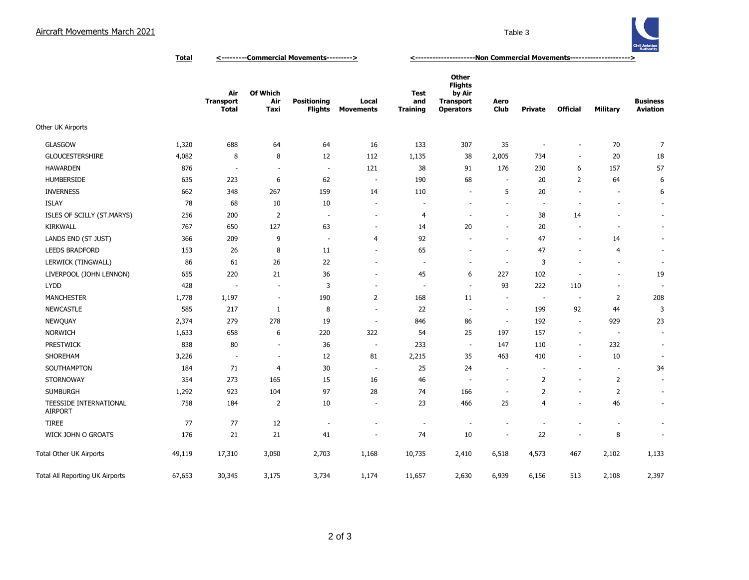## Aircraft Movements March 2021 **Aircraft Movements March 2021**



**Total <---------Commercial Movements---------> <---------------------Non Commercial Movements--------------------->**

|                                          |        | Air<br><b>Transport</b><br><b>Total</b> | Of Which<br>Air<br>Taxi  | <b>Positioning</b><br><b>Flights</b> | Local<br><b>Movements</b> | <b>Test</b><br>and<br><b>Training</b> | Other<br><b>Flights</b><br>by Air<br><b>Transport</b><br><b>Operators</b> | Aero<br>Club             | <b>Private</b>           | <b>Official</b>          | <b>Military</b>          | <b>Business</b><br><b>Aviation</b> |
|------------------------------------------|--------|-----------------------------------------|--------------------------|--------------------------------------|---------------------------|---------------------------------------|---------------------------------------------------------------------------|--------------------------|--------------------------|--------------------------|--------------------------|------------------------------------|
| Other UK Airports                        |        |                                         |                          |                                      |                           |                                       |                                                                           |                          |                          |                          |                          |                                    |
| <b>GLASGOW</b>                           | 1,320  | 688                                     | 64                       | 64                                   | 16                        | 133                                   | 307                                                                       | 35                       | $\sim$                   | $\overline{\phantom{a}}$ | 70                       | $\overline{7}$                     |
| <b>GLOUCESTERSHIRE</b>                   | 4,082  | 8                                       | 8                        | 12                                   | 112                       | 1,135                                 | 38                                                                        | 2,005                    | 734                      | $\overline{\phantom{a}}$ | 20                       | 18                                 |
| <b>HAWARDEN</b>                          | 876    | $\overline{\phantom{a}}$                | $\sim$                   | $\overline{\phantom{a}}$             | 121                       | 38                                    | 91                                                                        | 176                      | 230                      | 6                        | 157                      | 57                                 |
| <b>HUMBERSIDE</b>                        | 635    | 223                                     | 6                        | 62                                   | $\sim$                    | 190                                   | 68                                                                        | $\overline{\phantom{a}}$ | 20                       | 2                        | 64                       | 6                                  |
| <b>INVERNESS</b>                         | 662    | 348                                     | 267                      | 159                                  | 14                        | 110                                   | $\overline{\phantom{a}}$                                                  | 5                        | 20                       | $\overline{\phantom{a}}$ | $\overline{\phantom{a}}$ | 6                                  |
| <b>ISLAY</b>                             | 78     | 68                                      | 10                       | 10                                   | $\overline{\phantom{a}}$  |                                       | $\sim$                                                                    | $\overline{\phantom{a}}$ | $\overline{\phantom{a}}$ | $\sim$                   | $\overline{\phantom{a}}$ | $\sim$                             |
| ISLES OF SCILLY (ST.MARYS)               | 256    | 200                                     | $\overline{2}$           | $\overline{\phantom{a}}$             | $\overline{\phantom{a}}$  | 4                                     | $\overline{\phantom{a}}$                                                  | $\overline{\phantom{a}}$ | 38                       | 14                       | $\overline{\phantom{a}}$ | $\overline{\phantom{a}}$           |
| <b>KIRKWALL</b>                          | 767    | 650                                     | 127                      | 63                                   | ٠                         | 14                                    | 20                                                                        | ٠                        | 20                       |                          | $\overline{\phantom{a}}$ | $\overline{\phantom{a}}$           |
| LANDS END (ST JUST)                      | 366    | 209                                     | 9                        | $\overline{\phantom{a}}$             | 4                         | 92                                    |                                                                           | ٠                        | 47                       | $\overline{\phantom{a}}$ | 14                       | $\overline{\phantom{a}}$           |
| <b>LEEDS BRADFORD</b>                    | 153    | 26                                      | 8                        | 11                                   | $\overline{\phantom{a}}$  | 65                                    | $\sim$                                                                    | $\overline{\phantom{a}}$ | 47                       | $\sim$                   | 4                        | $\overline{\phantom{a}}$           |
| LERWICK (TINGWALL)                       | 86     | 61                                      | 26                       | 22                                   | $\sim$                    | $\overline{\phantom{a}}$              | $\sim$                                                                    | $\sim$                   | 3                        |                          | $\overline{\phantom{a}}$ | $\overline{\phantom{a}}$           |
| LIVERPOOL (JOHN LENNON)                  | 655    | 220                                     | 21                       | 36                                   | $\overline{\phantom{a}}$  | 45                                    | 6                                                                         | 227                      | 102                      | $\overline{\phantom{a}}$ | $\overline{\phantom{a}}$ | 19                                 |
| <b>LYDD</b>                              | 428    | ÷                                       | ÷,                       | 3                                    | $\overline{\phantom{a}}$  | $\overline{\phantom{a}}$              | $\sim$                                                                    | 93                       | 222                      | 110                      | $\blacksquare$           | $\overline{\phantom{a}}$           |
| <b>MANCHESTER</b>                        | 1,778  | 1,197                                   | $\overline{\phantom{a}}$ | 190                                  | $\overline{2}$            | 168                                   | 11                                                                        | ٠                        | $\overline{\phantom{a}}$ | $\sim$                   | 2                        | 208                                |
| <b>NEWCASTLE</b>                         | 585    | 217                                     | $\mathbf{1}$             | 8                                    | $\overline{\phantom{a}}$  | 22                                    | $\sim$                                                                    | $\overline{\phantom{m}}$ | 199                      | 92                       | 44                       | 3                                  |
| NEWQUAY                                  | 2,374  | 279                                     | 278                      | 19                                   | $\overline{\phantom{a}}$  | 846                                   | 86                                                                        | $\sim$                   | 192                      | $\sim$                   | 929                      | 23                                 |
| <b>NORWICH</b>                           | 1,633  | 658                                     | 6                        | 220                                  | 322                       | 54                                    | 25                                                                        | 197                      | 157                      | $\overline{\phantom{a}}$ | $\overline{\phantom{a}}$ | $\overline{\phantom{a}}$           |
| <b>PRESTWICK</b>                         | 838    | 80                                      | $\sim$                   | 36                                   | $\overline{\phantom{a}}$  | 233                                   | $\sim$                                                                    | 147                      | 110                      | $\overline{\phantom{a}}$ | 232                      | $\overline{\phantom{a}}$           |
| SHOREHAM                                 | 3,226  | ÷,                                      | $\overline{\phantom{a}}$ | 12                                   | 81                        | 2,215                                 | 35                                                                        | 463                      | 410                      | $\sim$                   | 10                       | $\overline{\phantom{a}}$           |
| SOUTHAMPTON                              | 184    | 71                                      | 4                        | 30                                   | $\sim$                    | 25                                    | 24                                                                        | ٠                        | $\overline{a}$           | $\overline{\phantom{a}}$ | $\sim$                   | 34                                 |
| <b>STORNOWAY</b>                         | 354    | 273                                     | 165                      | 15                                   | 16                        | 46                                    | $\sim$                                                                    | $\overline{\phantom{a}}$ | $\overline{2}$           | $\sim$                   | 2                        | $\sim$                             |
| <b>SUMBURGH</b>                          | 1,292  | 923                                     | 104                      | 97                                   | 28                        | 74                                    | 166                                                                       | $\overline{a}$           | $\overline{2}$           | $\overline{\phantom{a}}$ | $\overline{2}$           | $\overline{\phantom{a}}$           |
| TEESSIDE INTERNATIONAL<br><b>AIRPORT</b> | 758    | 184                                     | 2                        | 10                                   | $\overline{\phantom{a}}$  | 23                                    | 466                                                                       | 25                       | $\overline{4}$           |                          | 46                       | $\sim$                             |
| <b>TIREE</b>                             | 77     | 77                                      | 12                       |                                      |                           | ٠                                     |                                                                           |                          |                          |                          | ٠                        | $\overline{\phantom{a}}$           |
| WICK JOHN O GROATS                       | 176    | 21                                      | 21                       | 41                                   |                           | 74                                    | 10                                                                        | $\overline{a}$           | 22                       | $\overline{\phantom{a}}$ | 8                        | $\overline{\phantom{a}}$           |
| Total Other UK Airports                  | 49,119 | 17,310                                  | 3,050                    | 2,703                                | 1,168                     | 10,735                                | 2,410                                                                     | 6,518                    | 4,573                    | 467                      | 2,102                    | 1,133                              |
| Total All Reporting UK Airports          | 67,653 | 30,345                                  | 3,175                    | 3,734                                | 1,174                     | 11,657                                | 2,630                                                                     | 6,939                    | 6,156                    | 513                      | 2,108                    | 2,397                              |